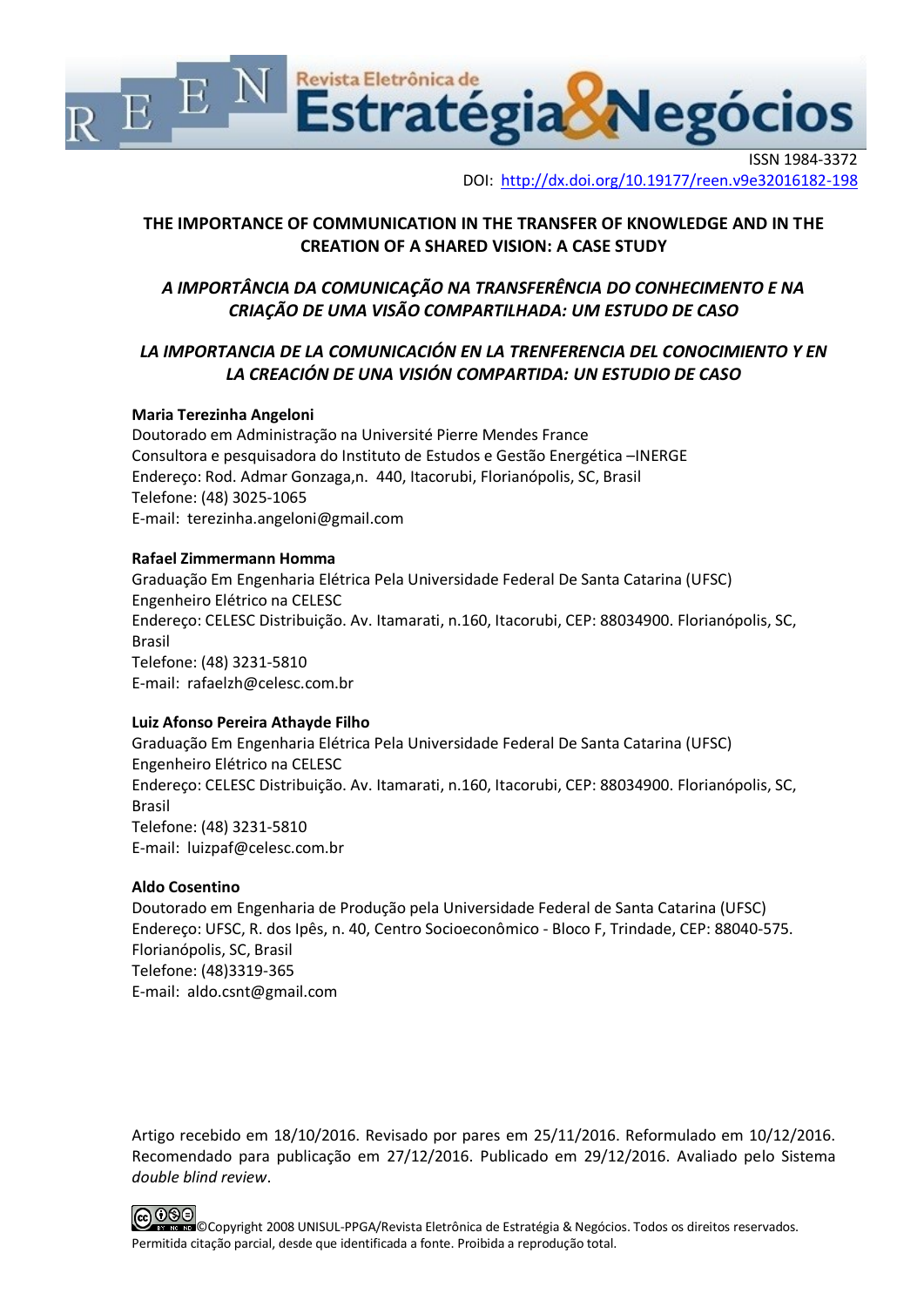

DOI: http://dx.doi.org/10.19177/reen.v9e32016182-198

## **THE IMPORTANCE OF COMMUNICATION IN THE TRANSFER OF KNOWLEDGE AND IN THE CREATION OF A SHARED VISION: A CASE STUDY**

# *A IMPORTÂNCIA DA COMUNICAÇÃO NA TRANSFERÊNCIA DO CONHECIMENTO E NA CRIAÇÃO DE UMA VISÃO COMPARTILHADA: UM ESTUDO DE CASO*

# *LA IMPORTANCIA DE LA COMUNICACIÓN EN LA TRENFERENCIA DEL CONOCIMIENTO Y EN LA CREACIÓN DE UNA VISIÓN COMPARTIDA: UN ESTUDIO DE CASO*

## **Maria Terezinha Angeloni**

Doutorado em Administração na Université Pierre Mendes France Consultora e pesquisadora do Instituto de Estudos e Gestão Energética –INERGE Endereço: Rod. Admar Gonzaga,n. 440, Itacorubi, Florianópolis, SC, Brasil Telefone: [\(48\) 3025-1065](javascript:void(0)) E-mail: terezinha.angeloni@gmail.com

#### **Rafael Zimmermann Homma**

Graduação Em Engenharia Elétrica Pela Universidade Federal De Santa Catarina (UFSC) Engenheiro Elétrico na CELESC Endereço: CELESC Distribuição. Av. Itamarati, n.160, Itacorubi, CEP: 88034900. Florianópolis, SC, Brasil Telefone: (48) 3231-5810 E-mail: rafaelzh@celesc.com.br

## **Luiz Afonso Pereira Athayde Filho**

Graduação Em Engenharia Elétrica Pela Universidade Federal De Santa Catarina (UFSC) Engenheiro Elétrico na CELESC Endereço: CELESC Distribuição. Av. Itamarati, n.160, Itacorubi, CEP: 88034900. Florianópolis, SC, Brasil Telefone: (48) 3231-5810 E-mail: luizpaf@celesc.com.br

## **Aldo Cosentino**

Doutorado em Engenharia de Produção pela Universidade Federal de Santa Catarina (UFSC) Endereço: UFSC, R. dos Ipês, n. 40, Centro Socioeconômico - Bloco F, Trindade, CEP: 88040-575. Florianópolis, SC, Brasil Telefone: (48)3319-365 E-mail: aldo.csnt@gmail.com

Artigo recebido em 18/10/2016. Revisado por pares em 25/11/2016. Reformulado em 10/12/2016. Recomendado para publicação em 27/12/2016. Publicado em 29/12/2016. Avaliado pelo Sistema *double blind review*.

©Copyright 2008 UNISUL-PPGA/Revista Eletrônica de Estratégia & Negócios. Todos os direitos reservados. Permitida citação parcial, desde que identificada a fonte. Proibida a reprodução total.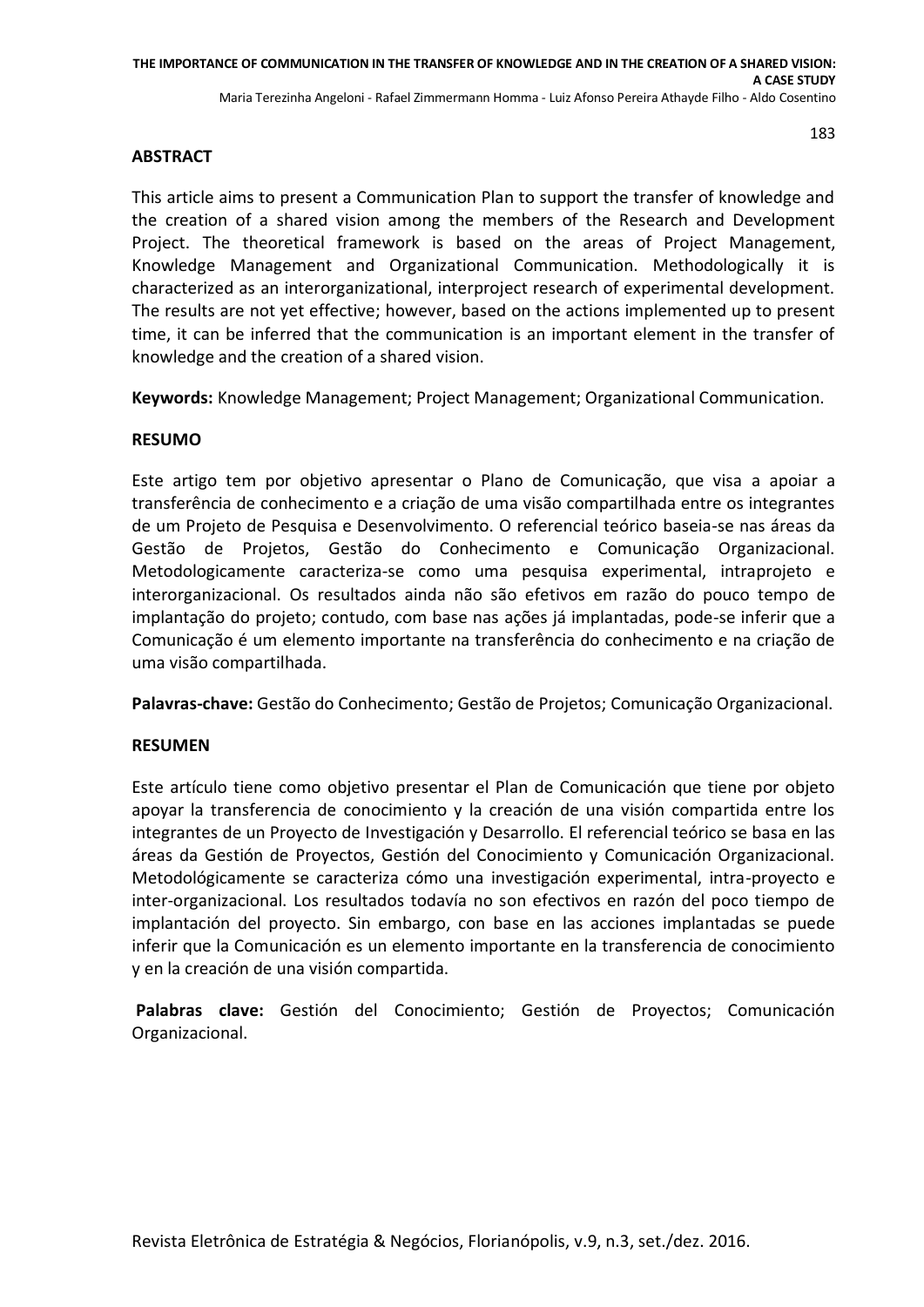## **ABSTRACT**

This article aims to present a Communication Plan to support the transfer of knowledge and the creation of a shared vision among the members of the Research and Development Project. The theoretical framework is based on the areas of Project Management, Knowledge Management and Organizational Communication. Methodologically it is characterized as an interorganizational, interproject research of experimental development. The results are not yet effective; however, based on the actions implemented up to present time, it can be inferred that the communication is an important element in the transfer of knowledge and the creation of a shared vision.

**Keywords:** Knowledge Management; Project Management; Organizational Communication.

## **RESUMO**

Este artigo tem por objetivo apresentar o Plano de Comunicação, que visa a apoiar a transferência de conhecimento e a criação de uma visão compartilhada entre os integrantes de um Projeto de Pesquisa e Desenvolvimento. O referencial teórico baseia-se nas áreas da Gestão de Projetos, Gestão do Conhecimento e Comunicação Organizacional. Metodologicamente caracteriza-se como uma pesquisa experimental, intraprojeto e interorganizacional. Os resultados ainda não são efetivos em razão do pouco tempo de implantação do projeto; contudo, com base nas ações já implantadas, pode-se inferir que a Comunicação é um elemento importante na transferência do conhecimento e na criação de uma visão compartilhada.

**Palavras-chave:** Gestão do Conhecimento; Gestão de Projetos; Comunicação Organizacional.

## **RESUMEN**

Este artículo tiene como objetivo presentar el Plan de Comunicación que tiene por objeto apoyar la transferencia de conocimiento y la creación de una visión compartida entre los integrantes de un Proyecto de Investigación y Desarrollo. El referencial teórico se basa en las áreas da Gestión de Proyectos, Gestión del Conocimiento y Comunicación Organizacional. Metodológicamente se caracteriza cómo una investigación experimental, intra-proyecto e inter-organizacional. Los resultados todavía no son efectivos en razón del poco tiempo de implantación del proyecto. Sin embargo, con base en las acciones implantadas se puede inferir que la Comunicación es un elemento importante en la transferencia de conocimiento y en la creación de una visión compartida.

**Palabras clave:** Gestión del Conocimiento; Gestión de Proyectos; Comunicación Organizacional.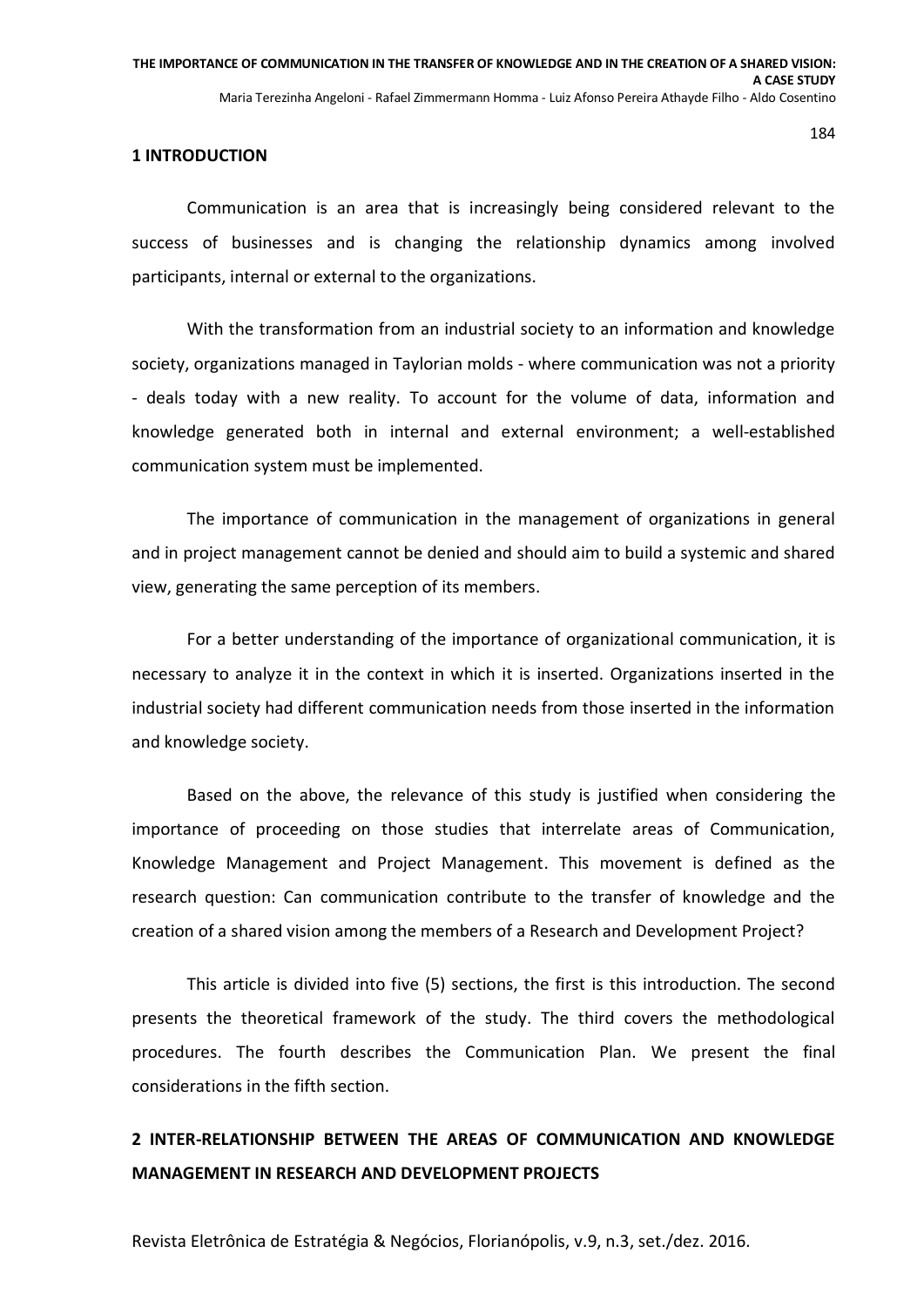#### **1 INTRODUCTION**

Communication is an area that is increasingly being considered relevant to the success of businesses and is changing the relationship dynamics among involved participants, internal or external to the organizations.

With the transformation from an industrial society to an information and knowledge society, organizations managed in Taylorian molds - where communication was not a priority - deals today with a new reality. To account for the volume of data, information and knowledge generated both in internal and external environment; a well-established communication system must be implemented.

The importance of communication in the management of organizations in general and in project management cannot be denied and should aim to build a systemic and shared view, generating the same perception of its members.

For a better understanding of the importance of organizational communication, it is necessary to analyze it in the context in which it is inserted. Organizations inserted in the industrial society had different communication needs from those inserted in the information and knowledge society.

Based on the above, the relevance of this study is justified when considering the importance of proceeding on those studies that interrelate areas of Communication, Knowledge Management and Project Management. This movement is defined as the research question: Can communication contribute to the transfer of knowledge and the creation of a shared vision among the members of a Research and Development Project?

This article is divided into five (5) sections, the first is this introduction. The second presents the theoretical framework of the study. The third covers the methodological procedures. The fourth describes the Communication Plan. We present the final considerations in the fifth section.

# **2 INTER-RELATIONSHIP BETWEEN THE AREAS OF COMMUNICATION AND KNOWLEDGE MANAGEMENT IN RESEARCH AND DEVELOPMENT PROJECTS**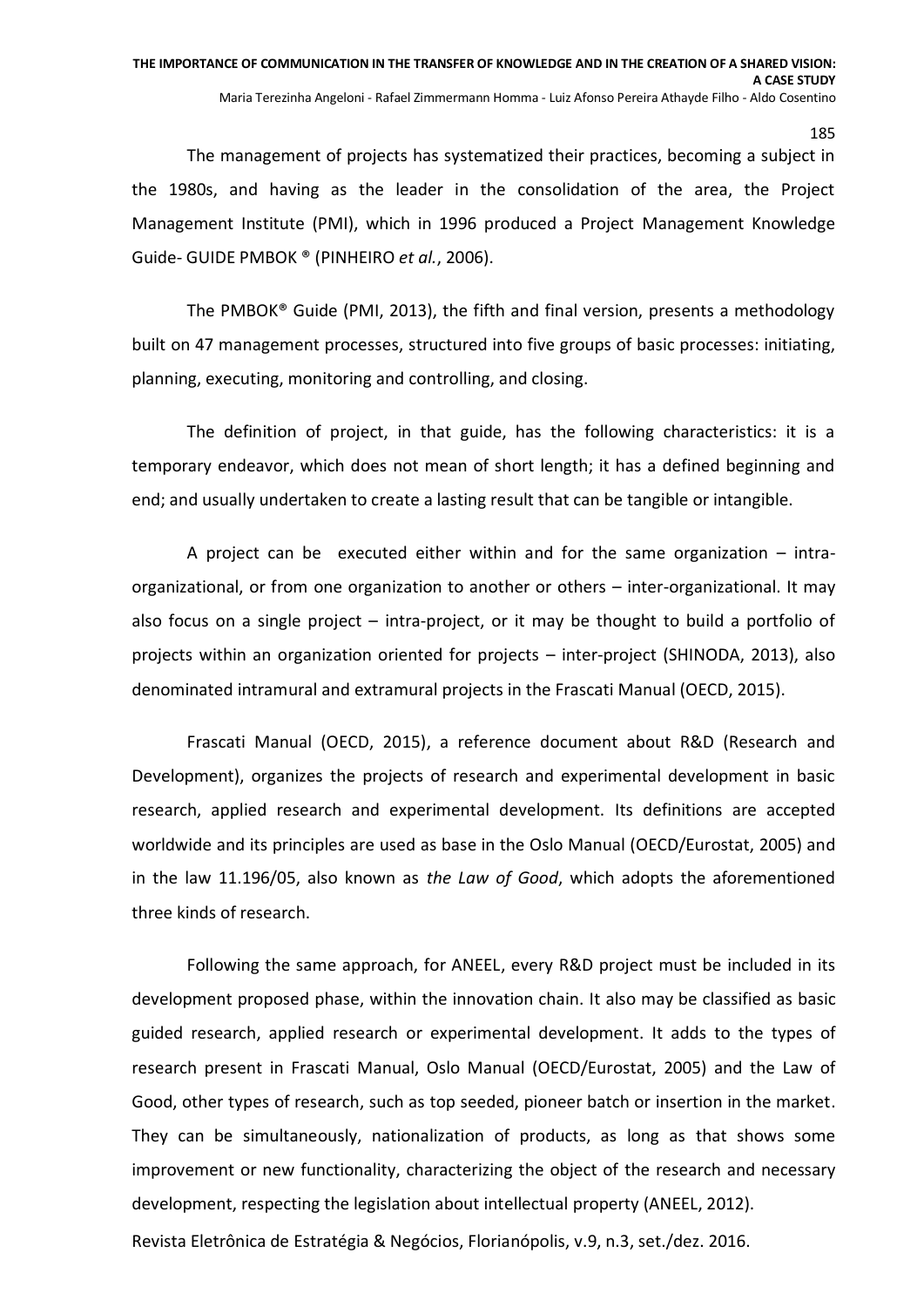The management of projects has systematized their practices, becoming a subject in the 1980s, and having as the leader in the consolidation of the area, the Project Management Institute (PMI), which in 1996 produced a Project Management Knowledge Guide- GUIDE PMBOK ® (PINHEIRO *et al.*, 2006).

The PMBOK® Guide (PMI, 2013), the fifth and final version, presents a methodology built on 47 management processes, structured into five groups of basic processes: initiating, planning, executing, monitoring and controlling, and closing.

The definition of project, in that guide, has the following characteristics: it is a temporary endeavor, which does not mean of short length; it has a defined beginning and end; and usually undertaken to create a lasting result that can be tangible or intangible.

A project can be executed either within and for the same organization – intraorganizational, or from one organization to another or others – inter-organizational. It may also focus on a single project – intra-project, or it may be thought to build a portfolio of projects within an organization oriented for projects – inter-project (SHINODA, 2013), also denominated intramural and extramural projects in the Frascati Manual (OECD, 2015).

Frascati Manual (OECD, 2015), a reference document about R&D (Research and Development), organizes the projects of research and experimental development in basic research, applied research and experimental development. Its definitions are accepted worldwide and its principles are used as base in the Oslo Manual (OECD/Eurostat, 2005) and in the law 11.196/05, also known as *the Law of Good*, which adopts the aforementioned three kinds of research.

Following the same approach, for ANEEL, every R&D project must be included in its development proposed phase, within the innovation chain. It also may be classified as basic guided research, applied research or experimental development. It adds to the types of research present in Frascati Manual, Oslo Manual (OECD/Eurostat, 2005) and the Law of Good, other types of research, such as top seeded, pioneer batch or insertion in the market. They can be simultaneously, nationalization of products, as long as that shows some improvement or new functionality, characterizing the object of the research and necessary development, respecting the legislation about intellectual property (ANEEL, 2012).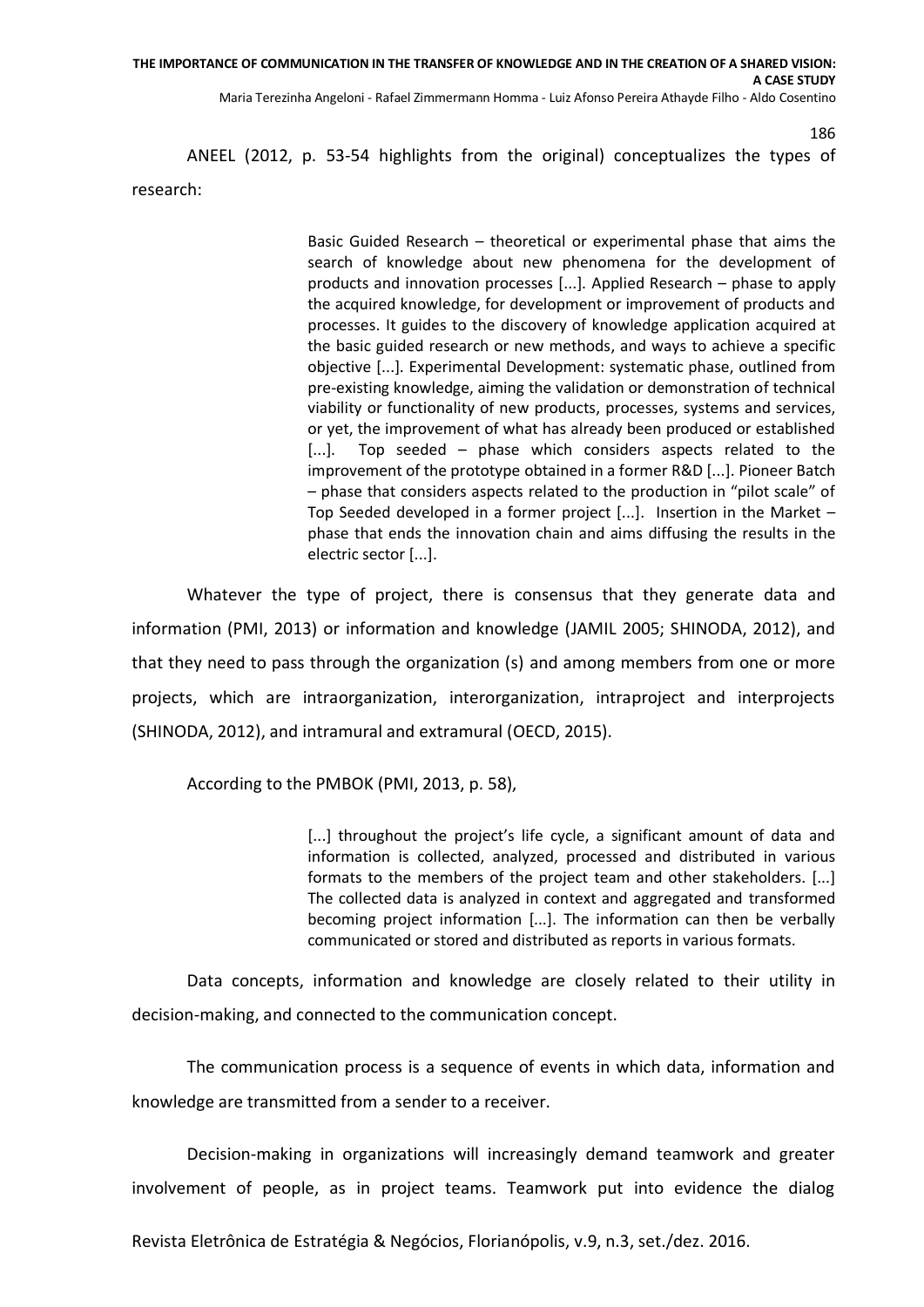ANEEL (2012, p. 53-54 highlights from the original) conceptualizes the types of research:

> Basic Guided Research – theoretical or experimental phase that aims the search of knowledge about new phenomena for the development of products and innovation processes [...]. Applied Research – phase to apply the acquired knowledge, for development or improvement of products and processes. It guides to the discovery of knowledge application acquired at the basic guided research or new methods, and ways to achieve a specific objective [...]. Experimental Development: systematic phase, outlined from pre-existing knowledge, aiming the validation or demonstration of technical viability or functionality of new products, processes, systems and services, or yet, the improvement of what has already been produced or established [...]. Top seeded – phase which considers aspects related to the improvement of the prototype obtained in a former R&D [...]. Pioneer Batch – phase that considers aspects related to the production in "pilot scale" of Top Seeded developed in a former project [...]. Insertion in the Market – phase that ends the innovation chain and aims diffusing the results in the electric sector [...].

186

Whatever the type of project, there is consensus that they generate data and information (PMI, 2013) or information and knowledge (JAMIL 2005; SHINODA, 2012), and that they need to pass through the organization (s) and among members from one or more projects, which are intraorganization, interorganization, intraproject and interprojects (SHINODA, 2012), and intramural and extramural (OECD, 2015).

According to the PMBOK (PMI, 2013, p. 58),

[...] throughout the project's life cycle, a significant amount of data and information is collected, analyzed, processed and distributed in various formats to the members of the project team and other stakeholders. [...] The collected data is analyzed in context and aggregated and transformed becoming project information [...]. The information can then be verbally communicated or stored and distributed as reports in various formats.

Data concepts, information and knowledge are closely related to their utility in decision-making, and connected to the communication concept.

The communication process is a sequence of events in which data, information and knowledge are transmitted from a sender to a receiver.

Decision-making in organizations will increasingly demand teamwork and greater involvement of people, as in project teams. Teamwork put into evidence the dialog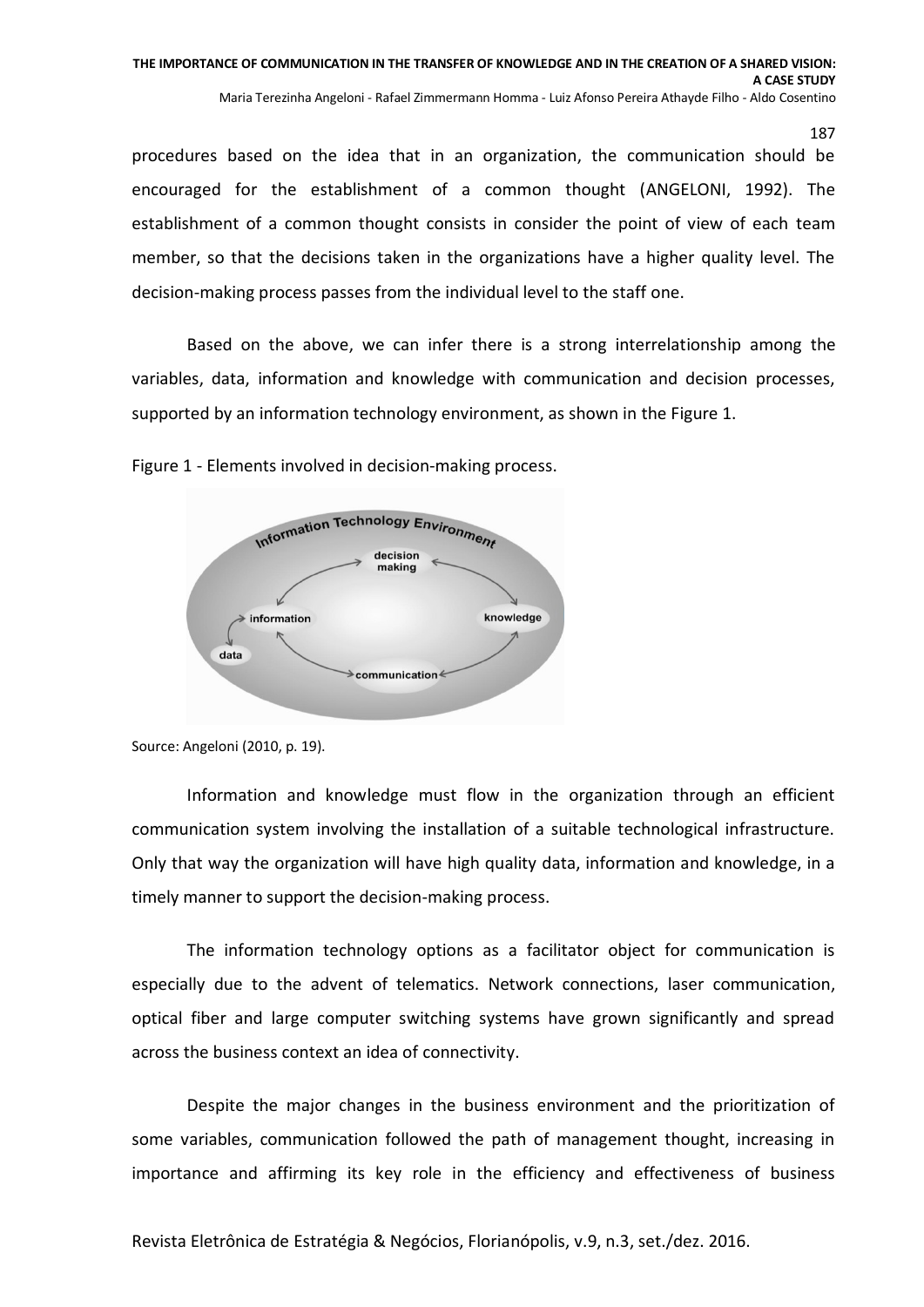procedures based on the idea that in an organization, the communication should be encouraged for the establishment of a common thought (ANGELONI, 1992). The establishment of a common thought consists in consider the point of view of each team member, so that the decisions taken in the organizations have a higher quality level. The decision-making process passes from the individual level to the staff one.

Based on the above, we can infer there is a strong interrelationship among the variables, data, information and knowledge with communication and decision processes, supported by an information technology environment, as shown in the Figure 1.

Figure 1 - Elements involved in decision-making process.



Source: Angeloni (2010, p. 19).

Information and knowledge must flow in the organization through an efficient communication system involving the installation of a suitable technological infrastructure. Only that way the organization will have high quality data, information and knowledge, in a timely manner to support the decision-making process.

The information technology options as a facilitator object for communication is especially due to the advent of telematics. Network connections, laser communication, optical fiber and large computer switching systems have grown significantly and spread across the business context an idea of connectivity.

Despite the major changes in the business environment and the prioritization of some variables, communication followed the path of management thought, increasing in importance and affirming its key role in the efficiency and effectiveness of business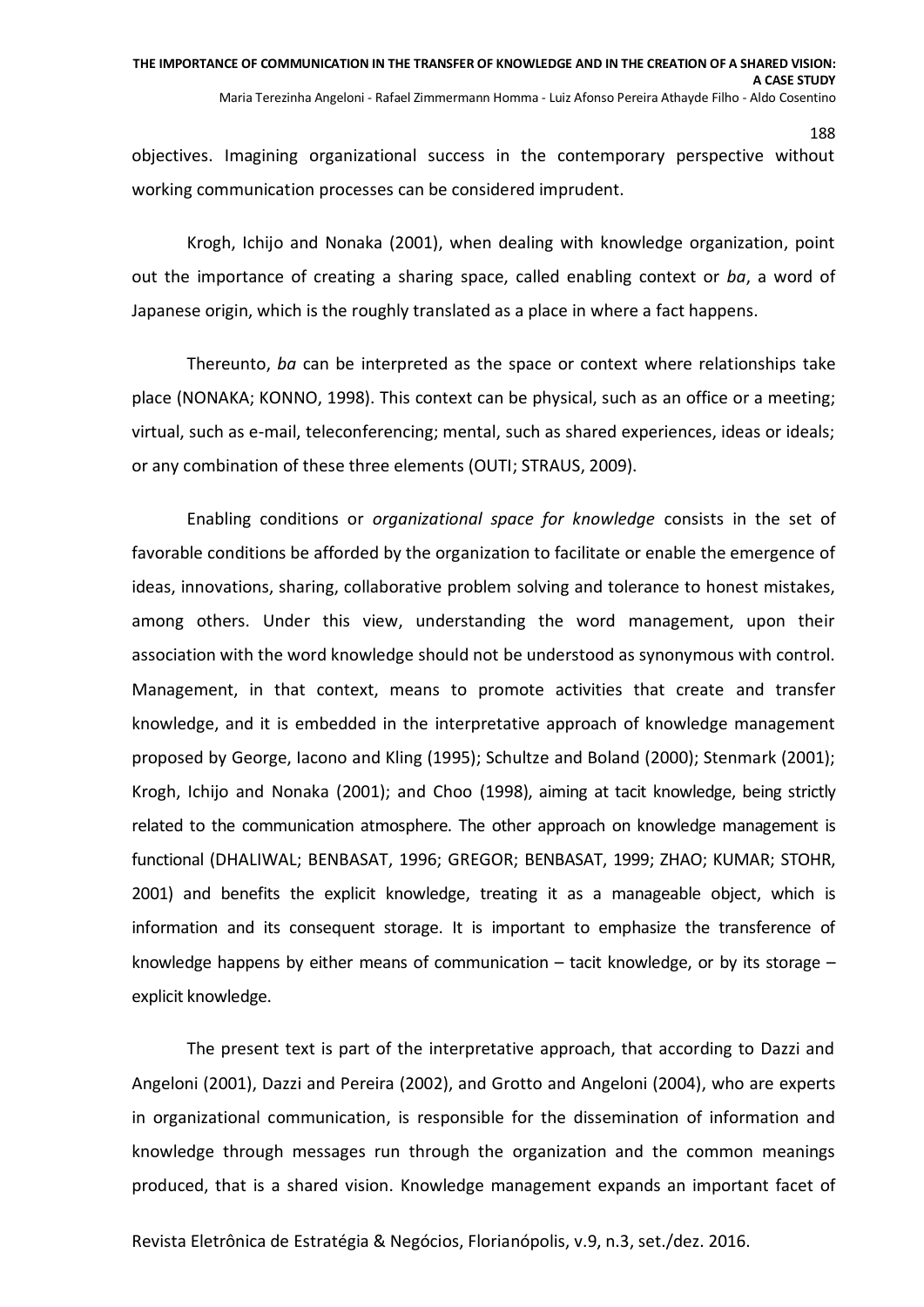objectives. Imagining organizational success in the contemporary perspective without working communication processes can be considered imprudent.

188

Krogh, Ichijo and Nonaka (2001), when dealing with knowledge organization, point out the importance of creating a sharing space, called enabling context or *ba*, a word of Japanese origin, which is the roughly translated as a place in where a fact happens.

Thereunto, *ba* can be interpreted as the space or context where relationships take place (NONAKA; KONNO, 1998). This context can be physical, such as an office or a meeting; virtual, such as e-mail, teleconferencing; mental, such as shared experiences, ideas or ideals; or any combination of these three elements (OUTI; STRAUS, 2009).

Enabling conditions or *organizational space for knowledge* consists in the set of favorable conditions be afforded by the organization to facilitate or enable the emergence of ideas, innovations, sharing, collaborative problem solving and tolerance to honest mistakes, among others. Under this view, understanding the word management, upon their association with the word knowledge should not be understood as synonymous with control. Management, in that context, means to promote activities that create and transfer knowledge, and it is embedded in the interpretative approach of knowledge management proposed by George, Iacono and Kling (1995); Schultze and Boland (2000); Stenmark (2001); Krogh, Ichijo and Nonaka (2001); and Choo (1998), aiming at tacit knowledge, being strictly related to the communication atmosphere. The other approach on knowledge management is functional (DHALIWAL; BENBASAT, 1996; GREGOR; BENBASAT, 1999; ZHAO; KUMAR; STOHR, 2001) and benefits the explicit knowledge, treating it as a manageable object, which is information and its consequent storage. It is important to emphasize the transference of knowledge happens by either means of communication  $-$  tacit knowledge, or by its storage  $$ explicit knowledge.

The present text is part of the interpretative approach, that according to Dazzi and Angeloni (2001), Dazzi and Pereira (2002), and Grotto and Angeloni (2004), who are experts in organizational communication, is responsible for the dissemination of information and knowledge through messages run through the organization and the common meanings produced, that is a shared vision. Knowledge management expands an important facet of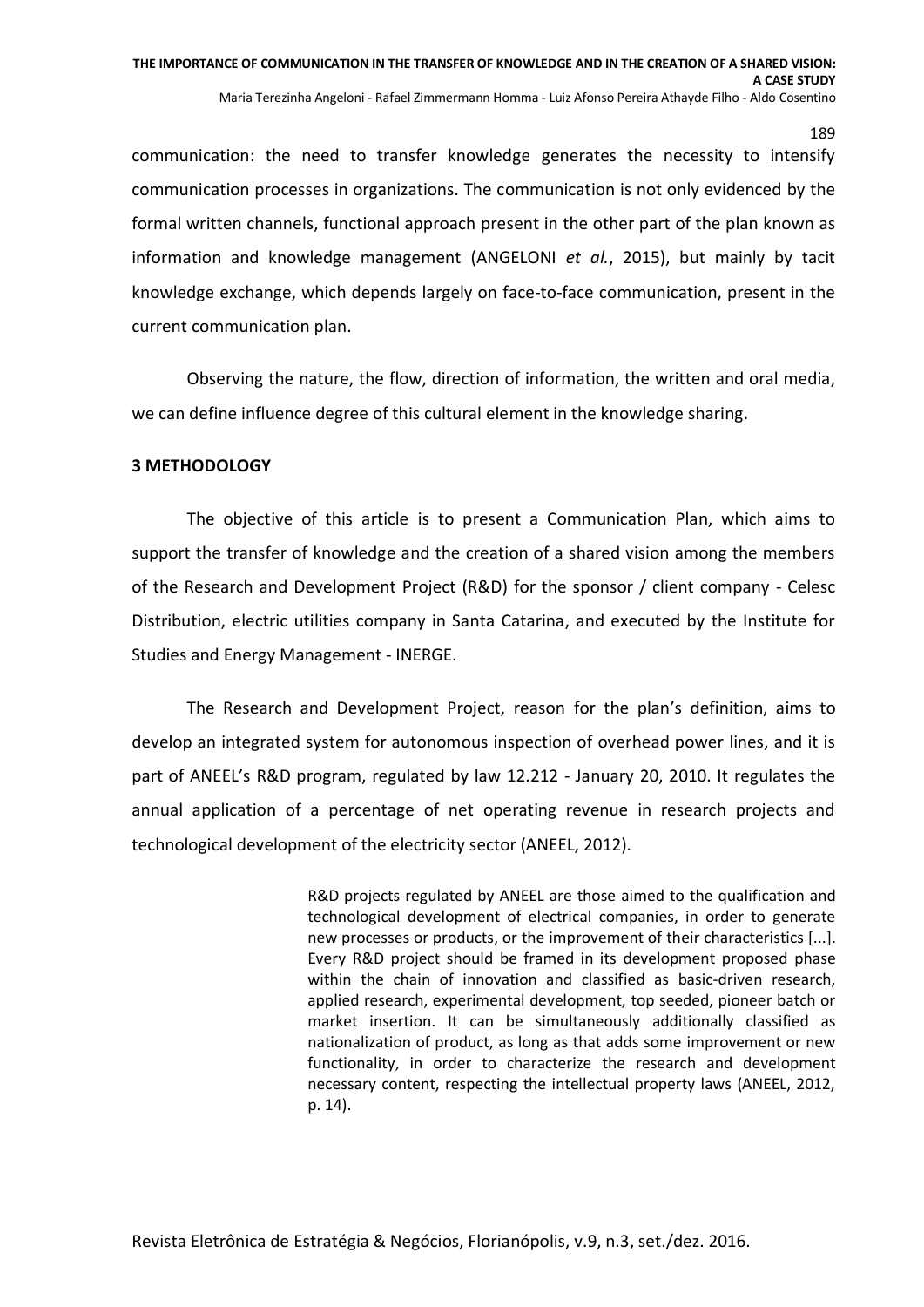communication: the need to transfer knowledge generates the necessity to intensify communication processes in organizations. The communication is not only evidenced by the formal written channels, functional approach present in the other part of the plan known as information and knowledge management (ANGELONI *et al.*, 2015), but mainly by tacit knowledge exchange, which depends largely on face-to-face communication, present in the current communication plan.

Observing the nature, the flow, direction of information, the written and oral media, we can define influence degree of this cultural element in the knowledge sharing.

#### **3 METHODOLOGY**

The objective of this article is to present a Communication Plan, which aims to support the transfer of knowledge and the creation of a shared vision among the members of the Research and Development Project (R&D) for the sponsor / client company - Celesc Distribution, electric utilities company in Santa Catarina, and executed by the Institute for Studies and Energy Management - INERGE.

The Research and Development Project, reason for the plan's definition, aims to develop an integrated system for autonomous inspection of overhead power lines, and it is part of ANEEL's R&D program, regulated by law 12.212 - January 20, 2010. It regulates the annual application of a percentage of net operating revenue in research projects and technological development of the electricity sector (ANEEL, 2012).

> R&D projects regulated by ANEEL are those aimed to the qualification and technological development of electrical companies, in order to generate new processes or products, or the improvement of their characteristics [...]. Every R&D project should be framed in its development proposed phase within the chain of innovation and classified as basic-driven research, applied research, experimental development, top seeded, pioneer batch or market insertion. It can be simultaneously additionally classified as nationalization of product, as long as that adds some improvement or new functionality, in order to characterize the research and development necessary content, respecting the intellectual property laws (ANEEL, 2012, p. 14).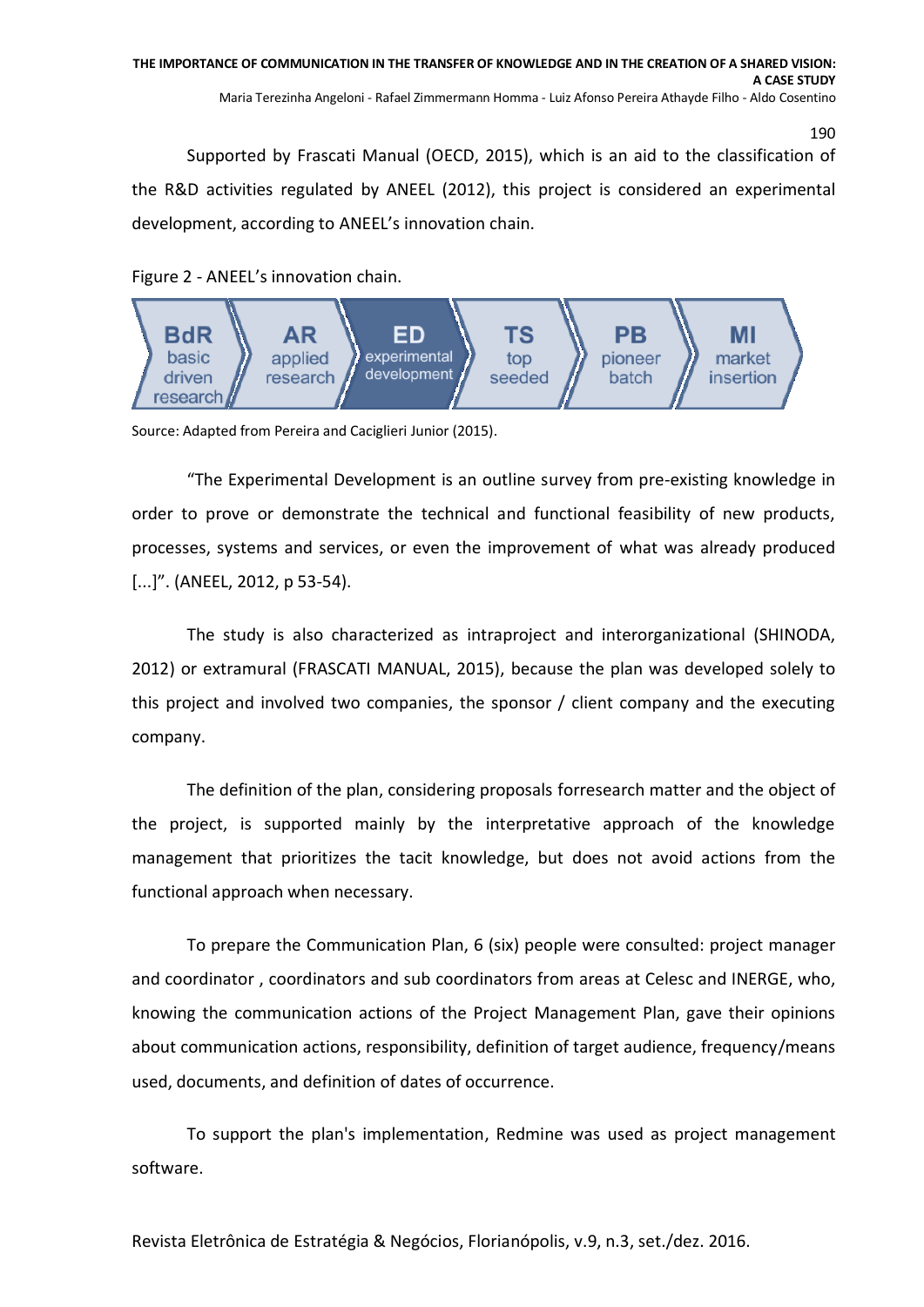Supported by Frascati Manual (OECD, 2015), which is an aid to the classification of the R&D activities regulated by ANEEL (2012), this project is considered an experimental development, according to ANEEL's innovation chain.

## Figure 2 - ANEEL's innovation chain.



Source: Adapted from Pereira and Caciglieri Junior (2015).

"The Experimental Development is an outline survey from pre-existing knowledge in order to prove or demonstrate the technical and functional feasibility of new products, processes, systems and services, or even the improvement of what was already produced [...]". (ANEEL, 2012, p 53-54).

The study is also characterized as intraproject and interorganizational (SHINODA, 2012) or extramural (FRASCATI MANUAL, 2015), because the plan was developed solely to this project and involved two companies, the sponsor / client company and the executing company.

The definition of the plan, considering proposals forresearch matter and the object of the project, is supported mainly by the interpretative approach of the knowledge management that prioritizes the tacit knowledge, but does not avoid actions from the functional approach when necessary.

To prepare the Communication Plan, 6 (six) people were consulted: project manager and coordinator , coordinators and sub coordinators from areas at Celesc and INERGE, who, knowing the communication actions of the Project Management Plan, gave their opinions about communication actions, responsibility, definition of target audience, frequency/means used, documents, and definition of dates of occurrence.

To support the plan's implementation, Redmine was used as project management software.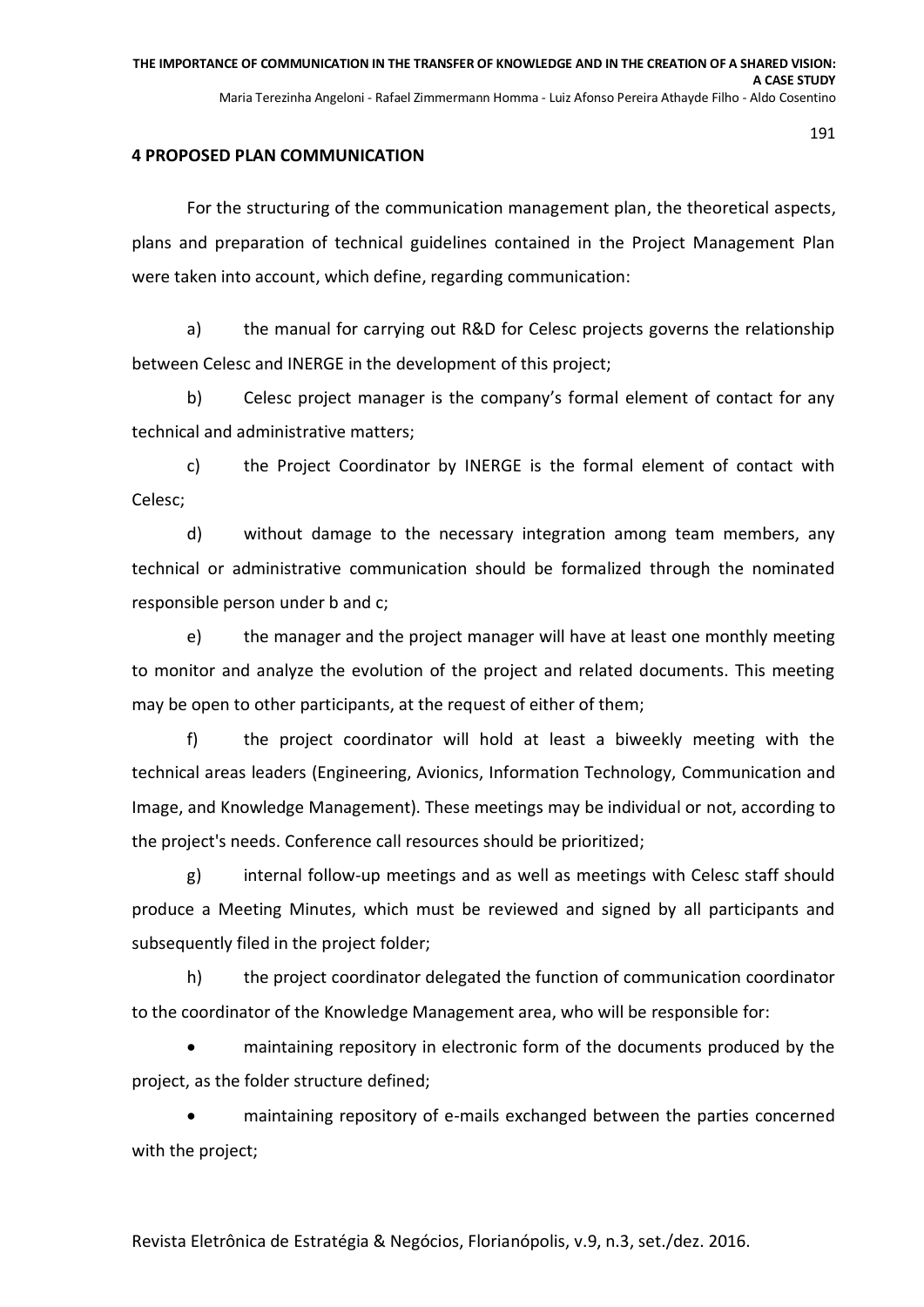#### **4 PROPOSED PLAN COMMUNICATION**

For the structuring of the communication management plan, the theoretical aspects, plans and preparation of technical guidelines contained in the Project Management Plan were taken into account, which define, regarding communication:

a) the manual for carrying out R&D for Celesc projects governs the relationship between Celesc and INERGE in the development of this project;

b) Celesc project manager is the company's formal element of contact for any technical and administrative matters;

c) the Project Coordinator by INERGE is the formal element of contact with Celesc;

d) without damage to the necessary integration among team members, any technical or administrative communication should be formalized through the nominated responsible person under b and c;

e) the manager and the project manager will have at least one monthly meeting to monitor and analyze the evolution of the project and related documents. This meeting may be open to other participants, at the request of either of them;

f) the project coordinator will hold at least a biweekly meeting with the technical areas leaders (Engineering, Avionics, Information Technology, Communication and Image, and Knowledge Management). These meetings may be individual or not, according to the project's needs. Conference call resources should be prioritized;

g) internal follow-up meetings and as well as meetings with Celesc staff should produce a Meeting Minutes, which must be reviewed and signed by all participants and subsequently filed in the project folder;

h) the project coordinator delegated the function of communication coordinator to the coordinator of the Knowledge Management area, who will be responsible for:

 maintaining repository in electronic form of the documents produced by the project, as the folder structure defined;

 maintaining repository of e-mails exchanged between the parties concerned with the project;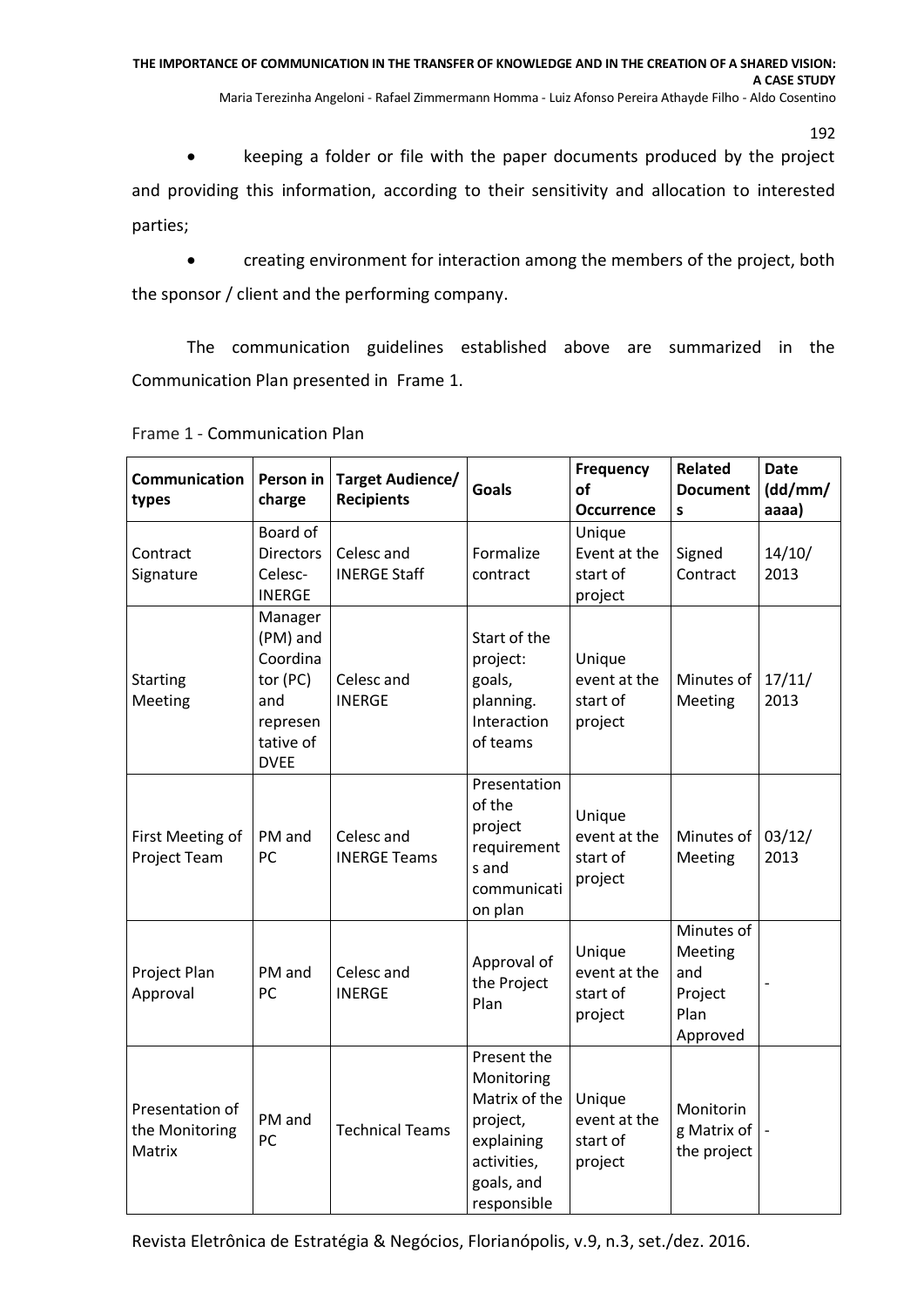• keeping a folder or file with the paper documents produced by the project and providing this information, according to their sensitivity and allocation to interested parties;

 creating environment for interaction among the members of the project, both the sponsor / client and the performing company.

The communication guidelines established above are summarized in the Communication Plan presented in Frame 1.

| <b>Communication</b><br>types               | Person in<br>charge                                                                        | <b>Target Audience/</b><br><b>Recipients</b> | <b>Goals</b>                                                                                                     | Frequency<br>of<br><b>Occurrence</b>          | <b>Related</b><br><b>Document</b><br>S                      | <b>Date</b><br>(dd/mm/<br>aaaa) |
|---------------------------------------------|--------------------------------------------------------------------------------------------|----------------------------------------------|------------------------------------------------------------------------------------------------------------------|-----------------------------------------------|-------------------------------------------------------------|---------------------------------|
| Contract<br>Signature                       | Board of<br><b>Directors</b><br>Celesc-<br><b>INERGE</b>                                   | Celesc and<br><b>INERGE Staff</b>            | Formalize<br>contract                                                                                            | Unique<br>Event at the<br>start of<br>project | Signed<br>Contract                                          | 14/10/<br>2013                  |
| <b>Starting</b><br>Meeting                  | Manager<br>(PM) and<br>Coordina<br>tor (PC)<br>and<br>represen<br>tative of<br><b>DVEE</b> | Celesc and<br><b>INERGE</b>                  | Start of the<br>project:<br>goals,<br>planning.<br>Interaction<br>of teams                                       | Unique<br>event at the<br>start of<br>project | Minutes of<br>Meeting                                       | 17/11/<br>2013                  |
| First Meeting of<br>Project Team            | PM and<br>PC                                                                               | Celesc and<br><b>INERGE Teams</b>            | Presentation<br>of the<br>project<br>requirement<br>s and<br>communicati<br>on plan                              | Unique<br>event at the<br>start of<br>project | Minutes of<br>Meeting                                       | 03/12/<br>2013                  |
| Project Plan<br>Approval                    | PM and<br>PC                                                                               | Celesc and<br><b>INFRGF</b>                  | Approval of<br>the Project<br>Plan                                                                               | Unique<br>event at the<br>start of<br>project | Minutes of<br>Meeting<br>and<br>Project<br>Plan<br>Approved |                                 |
| Presentation of<br>the Monitoring<br>Matrix | PM and<br>PC                                                                               | <b>Technical Teams</b>                       | Present the<br>Monitoring<br>Matrix of the<br>project,<br>explaining<br>activities,<br>goals, and<br>responsible | Unique<br>event at the<br>start of<br>project | Monitorin<br>g Matrix of<br>the project                     |                                 |

Frame 1 - Communication Plan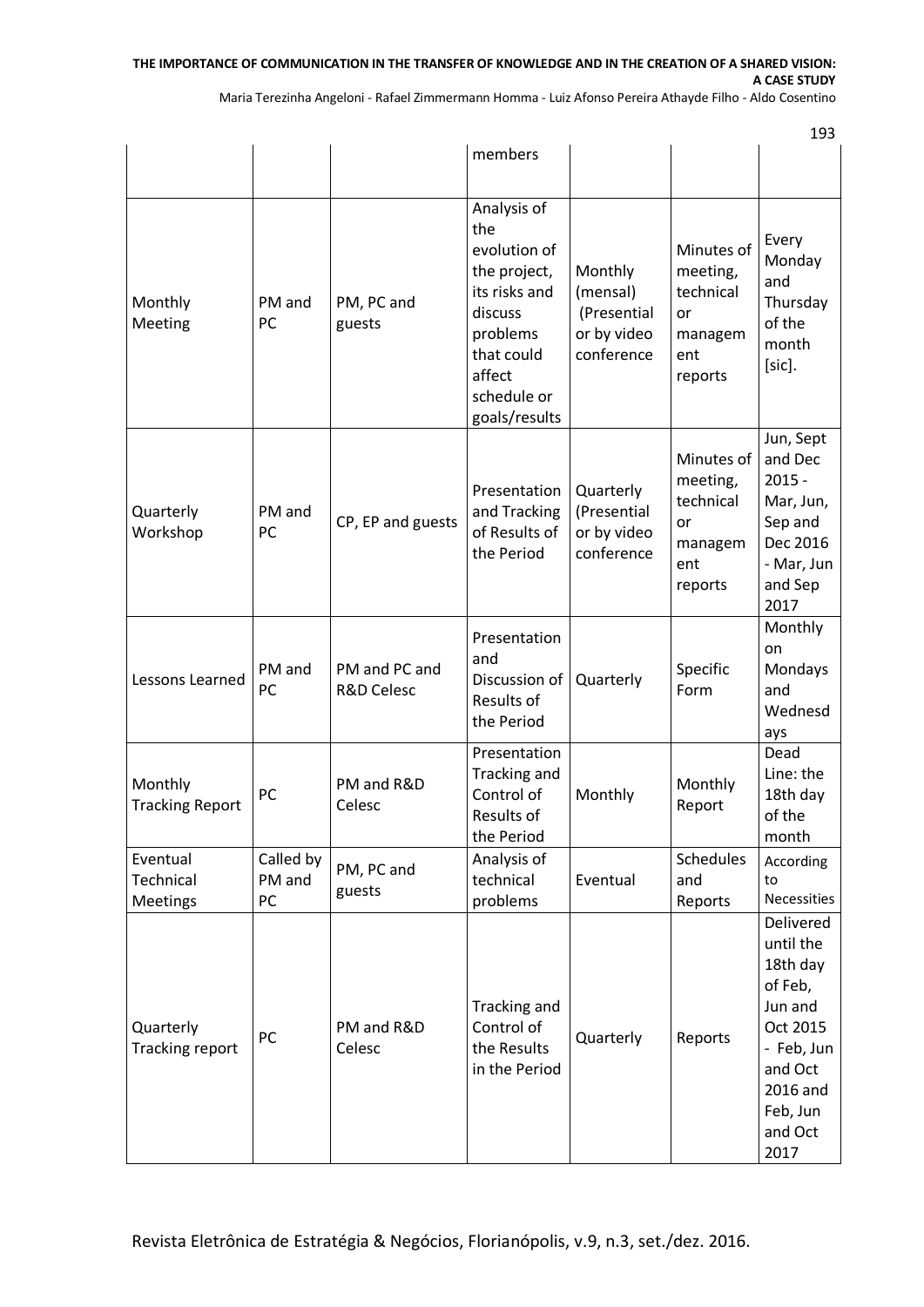### **THE IMPORTANCE OF COMMUNICATION IN THE TRANSFER OF KNOWLEDGE AND IN THE CREATION OF A SHARED VISION: A CASE STUDY**

Maria Terezinha Angeloni - Rafael Zimmermann Homma - Luiz Afonso Pereira Athayde Filho - Aldo Cosentino

103

|                                          |                           |                                        | members                                                                                                                                            |                                                                 |                                                                        | ᆦᄀᄀ                                                                                                                                             |
|------------------------------------------|---------------------------|----------------------------------------|----------------------------------------------------------------------------------------------------------------------------------------------------|-----------------------------------------------------------------|------------------------------------------------------------------------|-------------------------------------------------------------------------------------------------------------------------------------------------|
|                                          |                           |                                        |                                                                                                                                                    |                                                                 |                                                                        |                                                                                                                                                 |
| Monthly<br>Meeting                       | PM and<br>PC              | PM, PC and<br>guests                   | Analysis of<br>the<br>evolution of<br>the project,<br>its risks and<br>discuss<br>problems<br>that could<br>affect<br>schedule or<br>goals/results | Monthly<br>(mensal)<br>(Presential<br>or by video<br>conference | Minutes of<br>meeting,<br>technical<br>or<br>managem<br>ent<br>reports | Every<br>Monday<br>and<br>Thursday<br>of the<br>month<br>[sic].                                                                                 |
| Quarterly<br>Workshop                    | PM and<br>PC              | CP, EP and guests                      | Presentation<br>and Tracking<br>of Results of<br>the Period                                                                                        | Quarterly<br>(Presential<br>or by video<br>conference           | Minutes of<br>meeting,<br>technical<br>or<br>managem<br>ent<br>reports | Jun, Sept<br>and Dec<br>$2015 -$<br>Mar, Jun,<br>Sep and<br>Dec 2016<br>- Mar, Jun<br>and Sep<br>2017                                           |
| Lessons Learned                          | PM and<br>PC              | PM and PC and<br><b>R&amp;D Celesc</b> | Presentation<br>and<br>Discussion of<br>Results of<br>the Period                                                                                   | Quarterly                                                       | Specific<br>Form                                                       | Monthly<br>on<br>Mondays<br>and<br>Wednesd<br>ays                                                                                               |
| Monthly<br><b>Tracking Report</b>        | PC                        | PM and R&D<br>Celesc                   | Presentation<br>Tracking and<br>Control of<br>Results of<br>the Period                                                                             | Monthly                                                         | Monthly<br>Report                                                      | Dead<br>Line: the<br>18th day<br>of the<br>month                                                                                                |
| Eventual<br>Technical<br><b>Meetings</b> | Called by<br>PM and<br>PC | PM, PC and<br>guests                   | Analysis of<br>technical<br>problems                                                                                                               | Eventual                                                        | Schedules<br>and<br>Reports                                            | According<br>to<br>Necessities                                                                                                                  |
| Quarterly<br>Tracking report             | PC                        | PM and R&D<br>Celesc                   | Tracking and<br>Control of<br>the Results<br>in the Period                                                                                         | Quarterly                                                       | Reports                                                                | <b>Delivered</b><br>until the<br>18th day<br>of Feb,<br>Jun and<br>Oct 2015<br>- Feb, Jun<br>and Oct<br>2016 and<br>Feb, Jun<br>and Oct<br>2017 |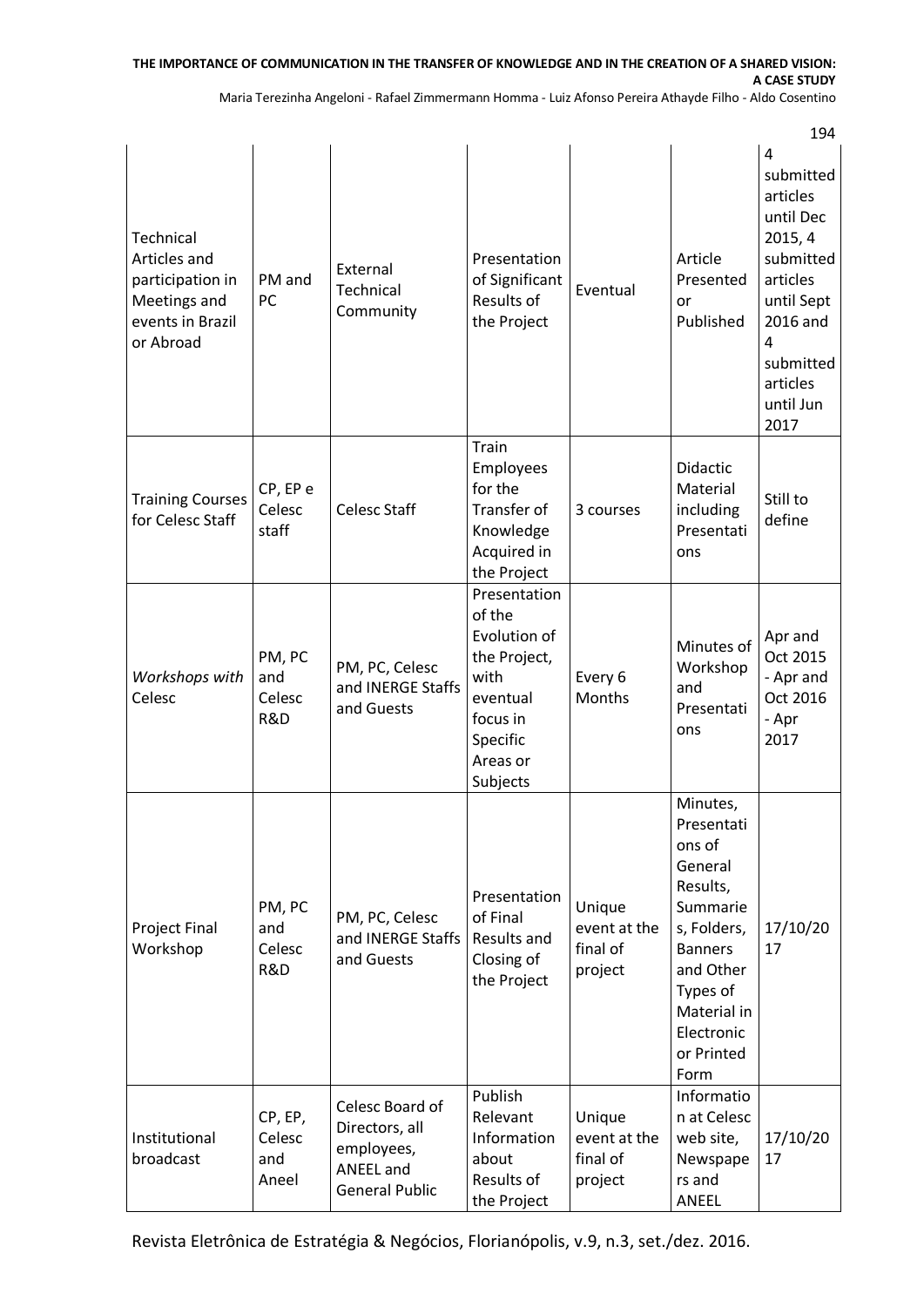## **THE IMPORTANCE OF COMMUNICATION IN THE TRANSFER OF KNOWLEDGE AND IN THE CREATION OF A SHARED VISION: A CASE STUDY**

Maria Terezinha Angeloni - Rafael Zimmermann Homma - Luiz Afonso Pereira Athayde Filho - Aldo Cosentino

 $101$ 

|                                                                                                |                                   |                                                                                              |                                                                                                                            |                                               |                                                                                                                                                                                  | 194                                                                                                                                                                   |
|------------------------------------------------------------------------------------------------|-----------------------------------|----------------------------------------------------------------------------------------------|----------------------------------------------------------------------------------------------------------------------------|-----------------------------------------------|----------------------------------------------------------------------------------------------------------------------------------------------------------------------------------|-----------------------------------------------------------------------------------------------------------------------------------------------------------------------|
| Technical<br>Articles and<br>participation in<br>Meetings and<br>events in Brazil<br>or Abroad | PM and<br>PC                      | External<br>Technical<br>Community                                                           | Presentation<br>of Significant<br>Results of<br>the Project                                                                | Eventual                                      | Article<br>Presented<br>or<br>Published                                                                                                                                          | $\overline{4}$<br>submitted<br>articles<br>until Dec<br>2015, 4<br>submitted<br>articles<br>until Sept<br>2016 and<br>4<br>submitted<br>articles<br>until Jun<br>2017 |
| <b>Training Courses</b><br>for Celesc Staff                                                    | CP, EP e<br>Celesc<br>staff       | <b>Celesc Staff</b>                                                                          | Train<br><b>Employees</b><br>for the<br>Transfer of<br>Knowledge<br>Acquired in<br>the Project                             | 3 courses                                     | Didactic<br>Material<br>including<br>Presentati<br>ons                                                                                                                           | Still to<br>define                                                                                                                                                    |
| Workshops with<br>Celesc                                                                       | PM, PC<br>and<br>Celesc<br>R&D    | PM, PC, Celesc<br>and INERGE Staffs<br>and Guests                                            | Presentation<br>of the<br>Evolution of<br>the Project,<br>with<br>eventual<br>focus in<br>Specific<br>Areas or<br>Subjects | Every 6<br>Months                             | Minutes of<br>Workshop<br>and<br>Presentati<br>ons                                                                                                                               | Apr and<br>Oct 2015<br>- Apr and<br>Oct 2016<br>- Apr<br>2017                                                                                                         |
| <b>Project Final</b><br>Workshop                                                               | PM, PC<br>and<br>Celesc<br>R&D    | PM, PC, Celesc<br>and INERGE Staffs<br>and Guests                                            | Presentation<br>of Final<br>Results and<br>Closing of<br>the Project                                                       | Unique<br>event at the<br>final of<br>project | Minutes,<br>Presentati<br>ons of<br>General<br>Results,<br>Summarie<br>s, Folders,<br><b>Banners</b><br>and Other<br>Types of<br>Material in<br>Electronic<br>or Printed<br>Form | 17/10/20<br>17                                                                                                                                                        |
| Institutional<br>broadcast                                                                     | CP, EP,<br>Celesc<br>and<br>Aneel | Celesc Board of<br>Directors, all<br>employees,<br><b>ANEEL</b> and<br><b>General Public</b> | Publish<br>Relevant<br>Information<br>about<br>Results of<br>the Project                                                   | Unique<br>event at the<br>final of<br>project | Informatio<br>n at Celesc<br>web site,<br>Newspape<br>rs and<br>ANEEL                                                                                                            | 17/10/20<br>17                                                                                                                                                        |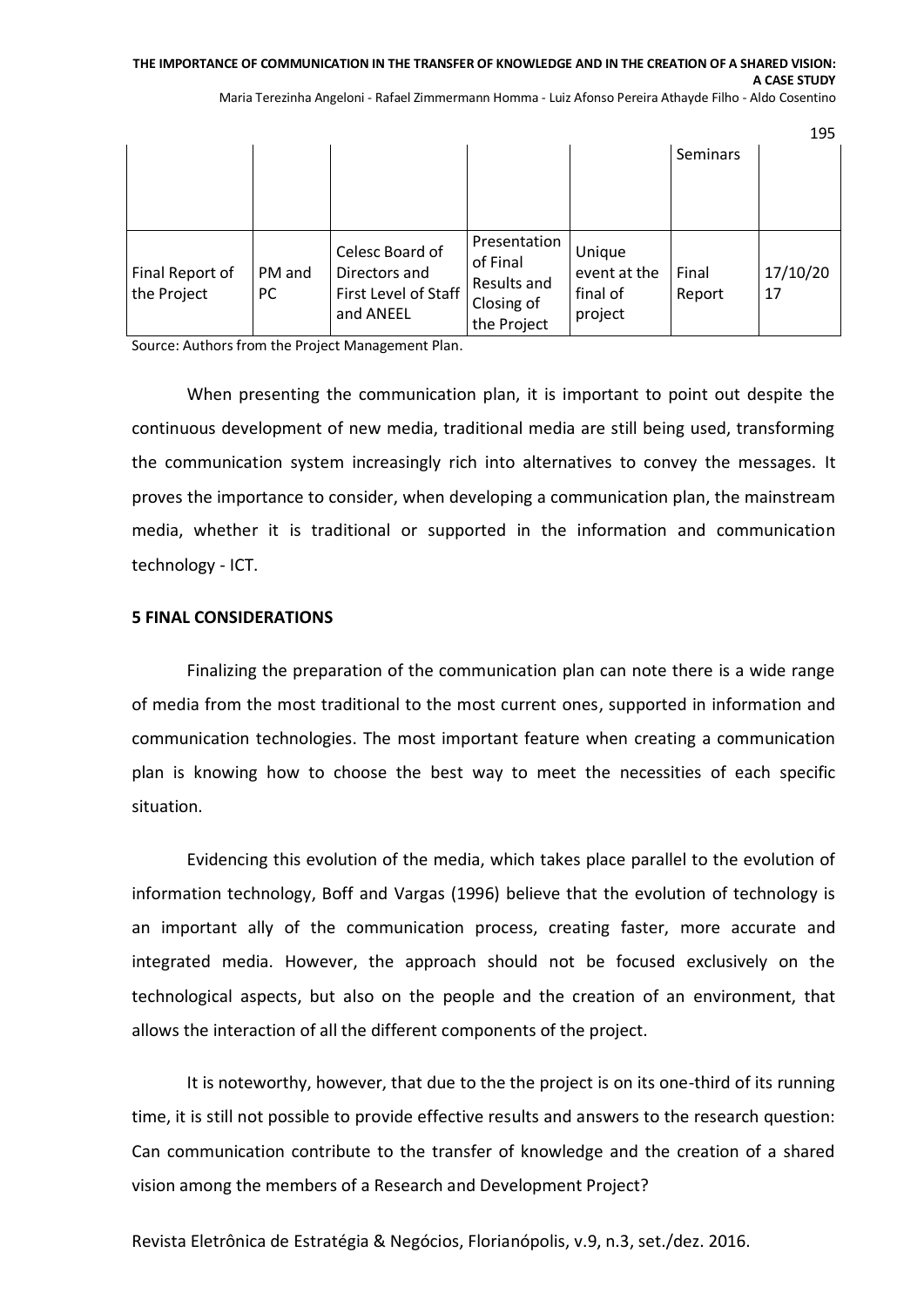#### **THE IMPORTANCE OF COMMUNICATION IN THE TRANSFER OF KNOWLEDGE AND IN THE CREATION OF A SHARED VISION: A CASE STUDY**

Maria Terezinha Angeloni - Rafael Zimmermann Homma - Luiz Afonso Pereira Athayde Filho - Aldo Cosentino

|                                |               |                                                                       |                                                                      |                                               |                 | 195            |
|--------------------------------|---------------|-----------------------------------------------------------------------|----------------------------------------------------------------------|-----------------------------------------------|-----------------|----------------|
|                                |               |                                                                       |                                                                      |                                               | Seminars        |                |
|                                |               |                                                                       |                                                                      |                                               |                 |                |
|                                |               |                                                                       |                                                                      |                                               |                 |                |
| Final Report of<br>the Project | PM and<br>PC. | Celesc Board of<br>Directors and<br>First Level of Staff<br>and ANEEL | Presentation<br>of Final<br>Results and<br>Closing of<br>the Project | Unique<br>event at the<br>final of<br>project | Final<br>Report | 17/10/20<br>17 |

Source: Authors from the Project Management Plan.

When presenting the communication plan, it is important to point out despite the continuous development of new media, traditional media are still being used, transforming the communication system increasingly rich into alternatives to convey the messages. It proves the importance to consider, when developing a communication plan, the mainstream media, whether it is traditional or supported in the information and communication technology - ICT.

#### **5 FINAL CONSIDERATIONS**

Finalizing the preparation of the communication plan can note there is a wide range of media from the most traditional to the most current ones, supported in information and communication technologies. The most important feature when creating a communication plan is knowing how to choose the best way to meet the necessities of each specific situation.

Evidencing this evolution of the media, which takes place parallel to the evolution of information technology, Boff and Vargas (1996) believe that the evolution of technology is an important ally of the communication process, creating faster, more accurate and integrated media. However, the approach should not be focused exclusively on the technological aspects, but also on the people and the creation of an environment, that allows the interaction of all the different components of the project.

It is noteworthy, however, that due to the the project is on its one-third of its running time, it is still not possible to provide effective results and answers to the research question: Can communication contribute to the transfer of knowledge and the creation of a shared vision among the members of a Research and Development Project?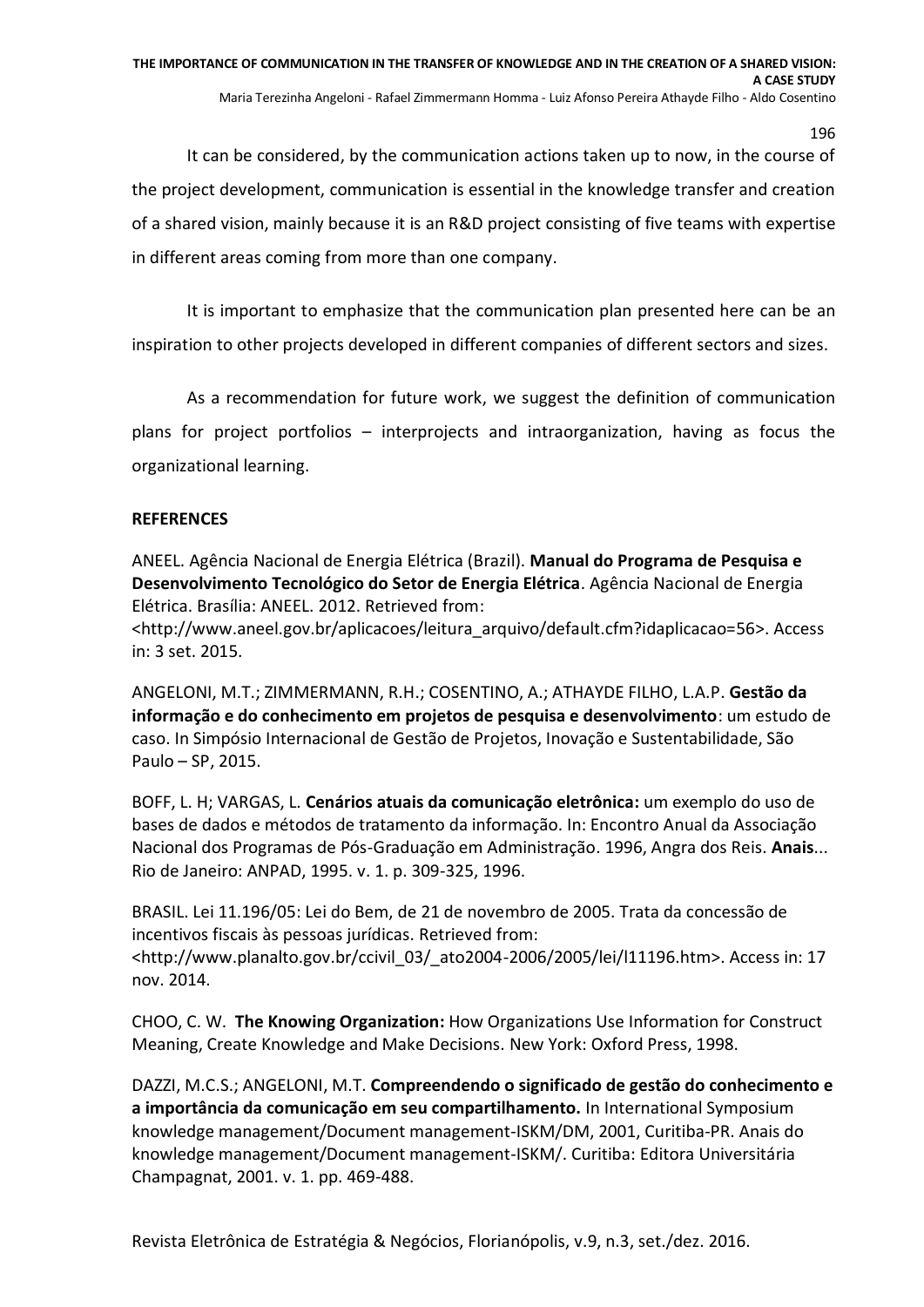It can be considered, by the communication actions taken up to now, in the course of the project development, communication is essential in the knowledge transfer and creation of a shared vision, mainly because it is an R&D project consisting of five teams with expertise in different areas coming from more than one company.

It is important to emphasize that the communication plan presented here can be an inspiration to other projects developed in different companies of different sectors and sizes.

As a recommendation for future work, we suggest the definition of communication plans for project portfolios – interprojects and intraorganization, having as focus the organizational learning.

## **REFERENCES**

ANEEL. Agência Nacional de Energia Elétrica (Brazil). **Manual do Programa de Pesquisa e Desenvolvimento Tecnológico do Setor de Energia Elétrica**. Agência Nacional de Energia Elétrica. Brasília: ANEEL. 2012. Retrieved from:

<http://www.aneel.gov.br/aplicacoes/leitura\_arquivo/default.cfm?idaplicacao=56>. Access in: 3 set. 2015.

ANGELONI, M.T.; ZIMMERMANN, R.H.; COSENTINO, A.; ATHAYDE FILHO, L.A.P. **Gestão da informação e do conhecimento em projetos de pesquisa e desenvolvimento**: um estudo de caso. In Simpósio Internacional de Gestão de Projetos, Inovação e Sustentabilidade, São Paulo – SP, 2015.

BOFF, L. H; VARGAS, L. **Cenários atuais da comunicação eletrônica**: um exemplo do uso de bases de dados e métodos de tratamento da informação. In: Encontro Anual da Associação Nacional dos Programas de Pós-Graduação em Administração. 1996, Angra dos Reis. **Anais.**.. Rio de Janeiro: ANPAD, 1995. v. 1. p. 309-325, 1996.

BRASIL. Lei 11.196/05: Lei do Bem, de 21 de novembro de 2005. Trata da concessão de incentivos fiscais às pessoas jurídicas. Retrieved from: <http://www.planalto.gov.br/ccivil\_03/\_ato2004-2006/2005/lei/l11196.htm>. Access in: 17 nov. 2014.

CHOO, C. W. **The Knowing Organization:** How Organizations Use Information for Construct Meaning, Create Knowledge and Make Decisions. New York: Oxford Press, 1998.

DAZZI, M.C.S.; ANGELONI, M.T. **Compreendendo o significado de gestão do conhecimento e a importância da comunicação em seu compartilhamento.** In International Symposium knowledge management/Document management-ISKM/DM, 2001, Curitiba-PR. Anais do knowledge management/Document management-ISKM/. Curitiba: Editora Universitária Champagnat, 2001. v. 1. pp. 469-488.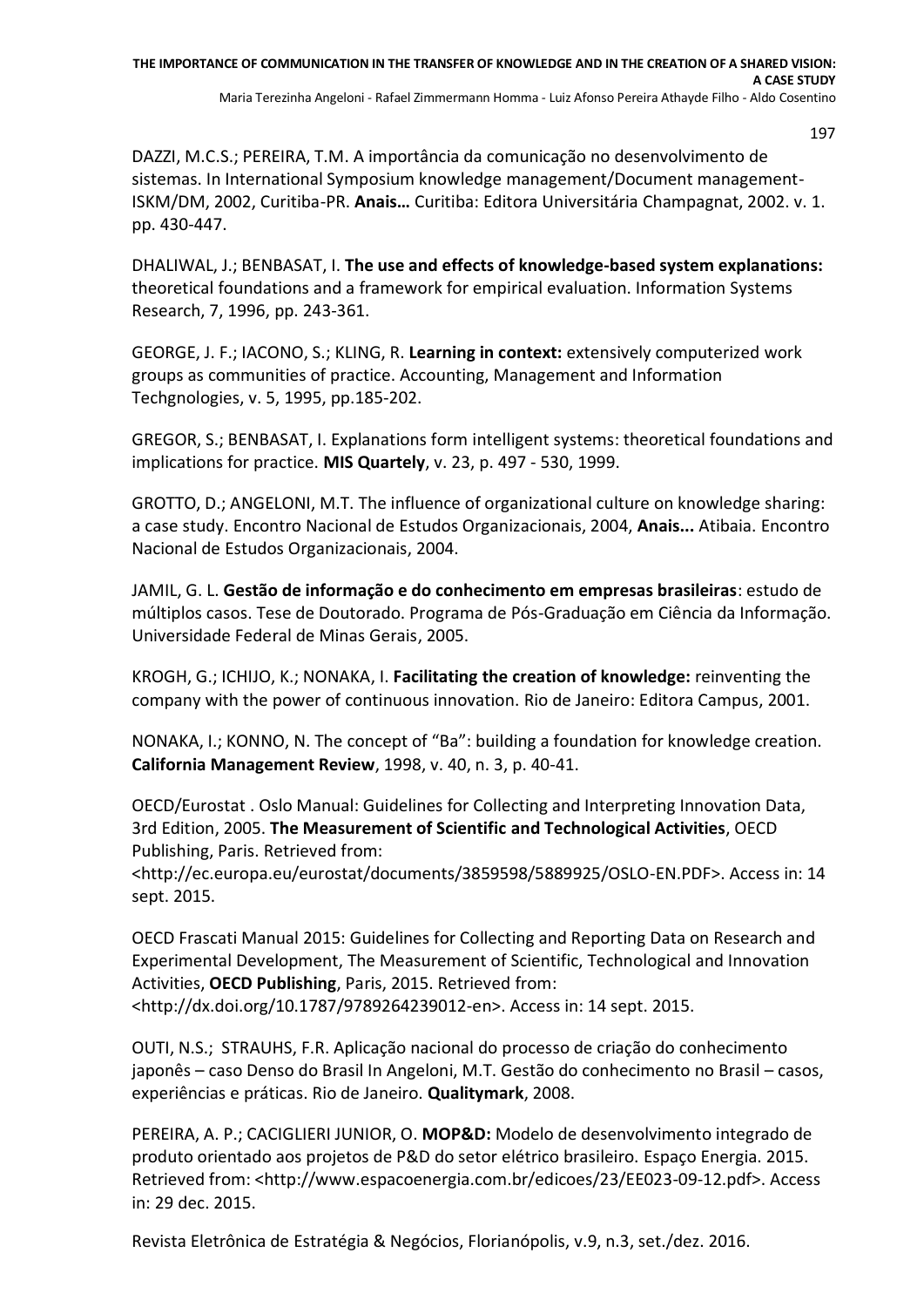DAZZI, M.C.S.; PEREIRA, T.M. A importância da comunicação no desenvolvimento de sistemas. In International Symposium knowledge management/Document management-ISKM/DM, 2002, Curitiba-PR. **Anais…** Curitiba: Editora Universitária Champagnat, 2002. v. 1. pp. 430-447.

DHALIWAL, J.; BENBASAT, I. **The use and effects of knowledge-based system explanations:** theoretical foundations and a framework for empirical evaluation. Information Systems Research, 7, 1996, pp. 243-361.

GEORGE, J. F.; IACONO, S.; KLING, R. **Learning in context:** extensively computerized work groups as communities of practice. Accounting, Management and Information Techgnologies, v. 5, 1995, pp.185-202.

GREGOR, S.; BENBASAT, I. Explanations form intelligent systems: theoretical foundations and implications for practice. **MIS Quartely**, v. 23, p. 497 - 530, 1999.

GROTTO, D.; ANGELONI, M.T. The influence of organizational culture on knowledge sharing: a case study. Encontro Nacional de Estudos Organizacionais, 2004, **Anais...** Atibaia. Encontro Nacional de Estudos Organizacionais, 2004.

JAMIL, G. L. **Gestão de informação e do conhecimento em empresas brasileiras**: estudo de múltiplos casos. Tese de Doutorado. Programa de Pós-Graduação em Ciência da Informação. Universidade Federal de Minas Gerais, 2005.

KROGH, G.; ICHIJO, K.; NONAKA, I. **Facilitating the creation of knowledge:** reinventing the company with the power of continuous innovation. Rio de Janeiro: Editora Campus, 2001.

NONAKA, I.; KONNO, N. The concept of "Ba": building a foundation for knowledge creation. **California Management Review**, 1998, v. 40, n. 3, p. 40-41.

OECD/Eurostat . Oslo Manual: Guidelines for Collecting and Interpreting Innovation Data, 3rd Edition, 2005. **The Measurement of Scientific and Technological Activities**, OECD Publishing, Paris. Retrieved from:

<http://ec.europa.eu/eurostat/documents/3859598/5889925/OSLO-EN.PDF>. Access in: 14 sept. 2015.

OECD Frascati Manual 2015: Guidelines for Collecting and Reporting Data on Research and Experimental Development, The Measurement of Scientific, Technological and Innovation Activities, **OECD Publishing**, Paris, 2015. Retrieved from: [<http://dx.doi.org/10.1787/9789264239012-en>](http://dx.doi.org/10.1787/9789264239012-en). Access in: 14 sept. 2015.

OUTI, N.S.; STRAUHS, F.R. Aplicação nacional do processo de criação do conhecimento japonês – caso Denso do Brasil In Angeloni, M.T. Gestão do conhecimento no Brasil – casos, experiências e práticas. Rio de Janeiro. **Qualitymark**, 2008.

PEREIRA, A. P.; CACIGLIERI JUNIOR, O. **MOP&D:** Modelo de desenvolvimento integrado de produto orientado aos projetos de P&D do setor elétrico brasileiro. Espaço Energia. 2015. Retrieved from: <http://www.espacoenergia.com.br/edicoes/23/EE023-09-12.pdf>. Access in: 29 dec. 2015.